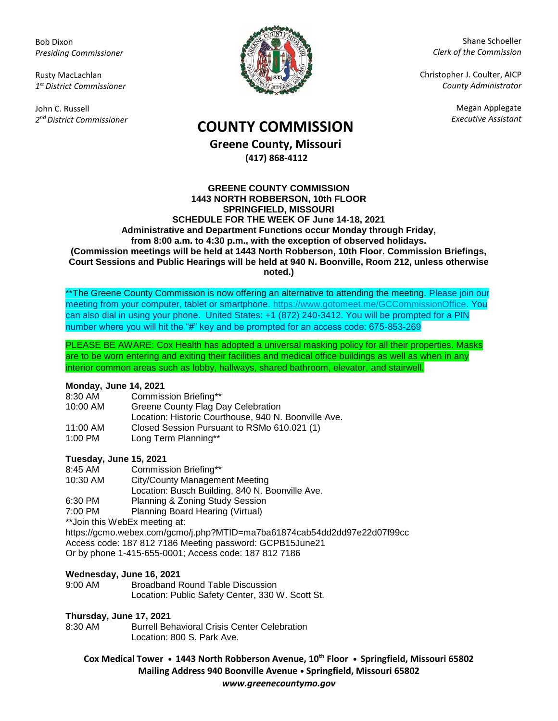Bob Dixon *Presiding Commissioner*

Rusty MacLachlan *1 st District Commissioner*

John C. Russell *2 nd District Commissioner*



Shane Schoeller *Clerk of the Commission*

Christopher J. Coulter, AICP *County Administrator*

Megan Applegate

# *Executive Assistant* **COUNTY COMMISSION**

**Greene County, Missouri (417) 868-4112**

#### **GREENE COUNTY COMMISSION 1443 NORTH ROBBERSON, 10th FLOOR SPRINGFIELD, MISSOURI SCHEDULE FOR THE WEEK OF June 14-18, 2021 Administrative and Department Functions occur Monday through Friday, from 8:00 a.m. to 4:30 p.m., with the exception of observed holidays. (Commission meetings will be held at 1443 North Robberson, 10th Floor. Commission Briefings, Court Sessions and Public Hearings will be held at 940 N. Boonville, Room 212, unless otherwise noted.)**

\*\*The Greene County Commission is now offering an alternative to attending the meeting. Please join our meeting from your computer, tablet or smartphone. [https://www.gotomeet.me/GCCommissionOffice.](https://www.gotomeet.me/GCCommissionOffice) You can also dial in using your phone. United States: +1 (872) 240-3412. You will be prompted for a PIN number where you will hit the "#" key and be prompted for an access code: 675-853-269

PLEASE BE AWARE: Cox Health has adopted a universal masking policy for all their properties. Masks are to be worn entering and exiting their facilities and medical office buildings as well as when in any interior common areas such as lobby, hallways, shared bathroom, elevator, and stairwell.

### **Monday, June 14, 2021**

- 8:30 AM Commission Briefing\*\*
- 10:00 AM Greene County Flag Day Celebration
- Location: Historic Courthouse, 940 N. Boonville Ave.
- 11:00 AM Closed Session Pursuant to RSMo 610.021 (1)
- 1:00 PM Long Term Planning\*\*

### **Tuesday, June 15, 2021**

- 8:45 AM Commission Briefing\*\*
- 10:30 AM City/County Management Meeting Location: Busch Building, 840 N. Boonville Ave. 6:30 PM Planning & Zoning Study Session
- 7:00 PM Planning Board Hearing (Virtual)

\*\*Join this WebEx meeting at:

<https://gcmo.webex.com/gcmo/j.php?MTID=ma7ba61874cab54dd2dd97e22d07f99cc> Access code: 187 812 7186 Meeting password: GCPB15June21 Or by phone 1-415-655-0001; Access code: 187 812 7186

### **Wednesday, June 16, 2021**

9:00 AM Broadband Round Table Discussion Location: Public Safety Center, 330 W. Scott St.

## **Thursday, June 17, 2021**

**Burrell Behavioral Crisis Center Celebration** Location: 800 S. Park Ave.

**Cox Medical Tower • 1443 North Robberson Avenue, 10th Floor • Springfield, Missouri 65802 Mailing Address 940 Boonville Avenue • Springfield, Missouri 65802** *www.greenecountymo.gov*